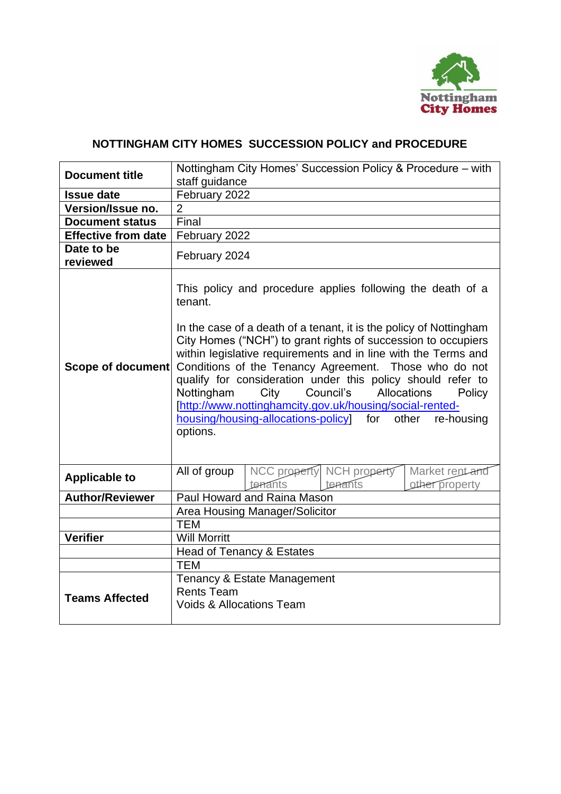

# **NOTTINGHAM CITY HOMES SUCCESSION POLICY and PROCEDURE**

| <b>Document title</b>      |                                                                                                                                                                                                                                                                                                                                                                                                                                                                                                                                                                                                          | Nottingham City Homes' Succession Policy & Procedure – with |                                      |                                   |  |  |
|----------------------------|----------------------------------------------------------------------------------------------------------------------------------------------------------------------------------------------------------------------------------------------------------------------------------------------------------------------------------------------------------------------------------------------------------------------------------------------------------------------------------------------------------------------------------------------------------------------------------------------------------|-------------------------------------------------------------|--------------------------------------|-----------------------------------|--|--|
|                            | staff guidance                                                                                                                                                                                                                                                                                                                                                                                                                                                                                                                                                                                           |                                                             |                                      |                                   |  |  |
| <b>Issue date</b>          | February 2022                                                                                                                                                                                                                                                                                                                                                                                                                                                                                                                                                                                            |                                                             |                                      |                                   |  |  |
| Version/Issue no.          | $\overline{2}$                                                                                                                                                                                                                                                                                                                                                                                                                                                                                                                                                                                           |                                                             |                                      |                                   |  |  |
| <b>Document status</b>     | Final                                                                                                                                                                                                                                                                                                                                                                                                                                                                                                                                                                                                    |                                                             |                                      |                                   |  |  |
| <b>Effective from date</b> | February 2022                                                                                                                                                                                                                                                                                                                                                                                                                                                                                                                                                                                            |                                                             |                                      |                                   |  |  |
| Date to be<br>reviewed     | February 2024                                                                                                                                                                                                                                                                                                                                                                                                                                                                                                                                                                                            |                                                             |                                      |                                   |  |  |
| <b>Scope of document</b>   | This policy and procedure applies following the death of a<br>tenant.<br>In the case of a death of a tenant, it is the policy of Nottingham<br>City Homes ("NCH") to grant rights of succession to occupiers<br>within legislative requirements and in line with the Terms and<br>Conditions of the Tenancy Agreement. Those who do not<br>qualify for consideration under this policy should refer to<br>City Council's Allocations<br>Nottingham<br>Policy<br>[http://www.nottinghamcity.gov.uk/housing/social-rented-<br>housing/housing-allocations-policy<br>for<br>other<br>re-housing<br>options. |                                                             |                                      |                                   |  |  |
| <b>Applicable to</b>       | All of group                                                                                                                                                                                                                                                                                                                                                                                                                                                                                                                                                                                             | tenants                                                     | NCC property NCH property<br>tenants | Market rent and<br>other property |  |  |
| <b>Author/Reviewer</b>     |                                                                                                                                                                                                                                                                                                                                                                                                                                                                                                                                                                                                          | Paul Howard and Raina Mason                                 |                                      |                                   |  |  |
|                            |                                                                                                                                                                                                                                                                                                                                                                                                                                                                                                                                                                                                          | Area Housing Manager/Solicitor                              |                                      |                                   |  |  |
|                            | <b>TEM</b>                                                                                                                                                                                                                                                                                                                                                                                                                                                                                                                                                                                               |                                                             |                                      |                                   |  |  |
| <b>Verifier</b>            | <b>Will Morritt</b>                                                                                                                                                                                                                                                                                                                                                                                                                                                                                                                                                                                      |                                                             |                                      |                                   |  |  |
|                            |                                                                                                                                                                                                                                                                                                                                                                                                                                                                                                                                                                                                          | Head of Tenancy & Estates                                   |                                      |                                   |  |  |
|                            | <b>TEM</b>                                                                                                                                                                                                                                                                                                                                                                                                                                                                                                                                                                                               |                                                             |                                      |                                   |  |  |
| <b>Teams Affected</b>      | <b>Rents Team</b><br><b>Voids &amp; Allocations Team</b>                                                                                                                                                                                                                                                                                                                                                                                                                                                                                                                                                 | Tenancy & Estate Management                                 |                                      |                                   |  |  |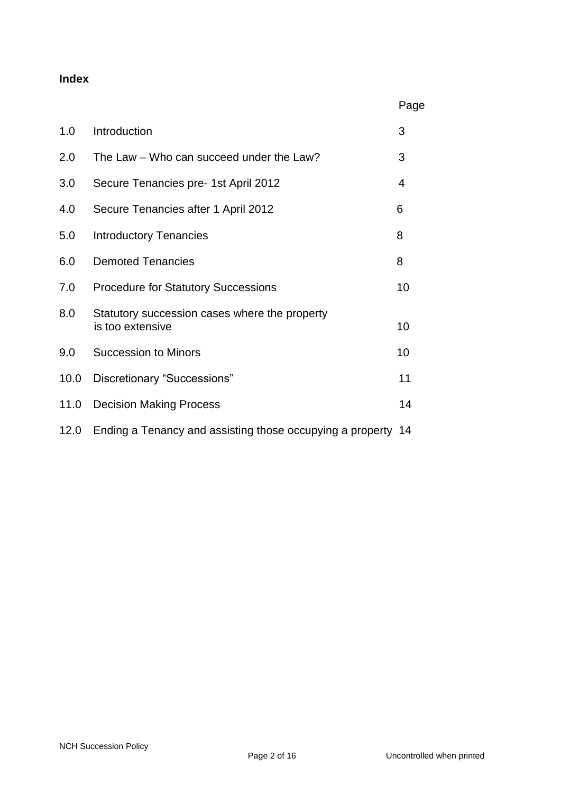### **Index**

|      |                                                                   | Page |
|------|-------------------------------------------------------------------|------|
| 1.0  | Introduction                                                      | 3    |
| 2.0  | The Law – Who can succeed under the Law?                          | 3    |
| 3.0  | Secure Tenancies pre- 1st April 2012                              | 4    |
| 4.0  | Secure Tenancies after 1 April 2012                               | 6    |
| 5.0  | <b>Introductory Tenancies</b>                                     | 8    |
| 6.0  | <b>Demoted Tenancies</b>                                          | 8    |
| 7.0  | <b>Procedure for Statutory Successions</b>                        | 10   |
| 8.0  | Statutory succession cases where the property<br>is too extensive | 10   |
| 9.0  | <b>Succession to Minors</b>                                       | 10   |
| 10.0 | Discretionary "Successions"                                       | 11   |
| 11.0 | <b>Decision Making Process</b>                                    | 14   |
| 12.0 | Ending a Tenancy and assisting those occupying a property 14      |      |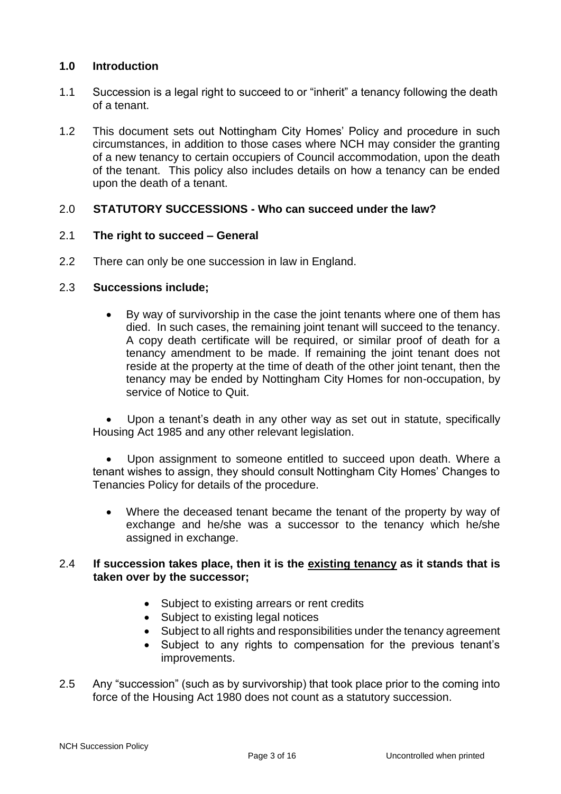# **1.0 Introduction**

- 1.1 Succession is a legal right to succeed to or "inherit" a tenancy following the death of a tenant.
- 1.2 This document sets out Nottingham City Homes' Policy and procedure in such circumstances, in addition to those cases where NCH may consider the granting of a new tenancy to certain occupiers of Council accommodation, upon the death of the tenant. This policy also includes details on how a tenancy can be ended upon the death of a tenant.

# 2.0 **STATUTORY SUCCESSIONS - Who can succeed under the law?**

### 2.1 **The right to succeed – General**

2.2 There can only be one succession in law in England.

#### 2.3 **Successions include;**

• By way of survivorship in the case the joint tenants where one of them has died. In such cases, the remaining joint tenant will succeed to the tenancy. A copy death certificate will be required, or similar proof of death for a tenancy amendment to be made. If remaining the joint tenant does not reside at the property at the time of death of the other joint tenant, then the tenancy may be ended by Nottingham City Homes for non-occupation, by service of Notice to Quit.

Upon a tenant's death in any other way as set out in statute, specifically Housing Act 1985 and any other relevant legislation.

Upon assignment to someone entitled to succeed upon death. Where a tenant wishes to assign, they should consult Nottingham City Homes' Changes to Tenancies Policy for details of the procedure.

• Where the deceased tenant became the tenant of the property by way of exchange and he/she was a successor to the tenancy which he/she assigned in exchange.

#### 2.4 **If succession takes place, then it is the existing tenancy as it stands that is taken over by the successor;**

- Subject to existing arrears or rent credits
- Subject to existing legal notices
- Subject to all rights and responsibilities under the tenancy agreement
- Subject to any rights to compensation for the previous tenant's improvements.
- 2.5 Any "succession" (such as by survivorship) that took place prior to the coming into force of the Housing Act 1980 does not count as a statutory succession.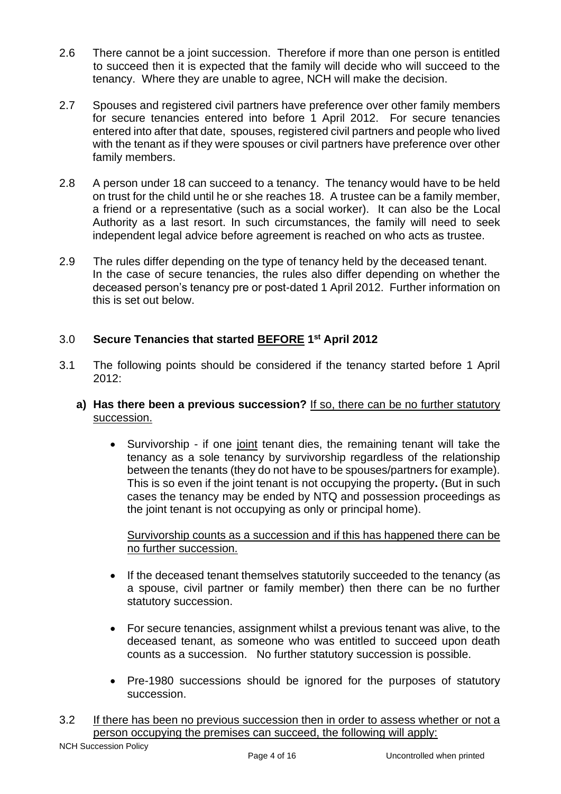- 2.6 There cannot be a joint succession. Therefore if more than one person is entitled to succeed then it is expected that the family will decide who will succeed to the tenancy. Where they are unable to agree, NCH will make the decision.
- 2.7 Spouses and registered civil partners have preference over other family members for secure tenancies entered into before 1 April 2012. For secure tenancies entered into after that date, spouses, registered civil partners and people who lived with the tenant as if they were spouses or civil partners have preference over other family members.
- 2.8 A person under 18 can succeed to a tenancy. The tenancy would have to be held on trust for the child until he or she reaches 18. A trustee can be a family member, a friend or a representative (such as a social worker). It can also be the Local Authority as a last resort. In such circumstances, the family will need to seek independent legal advice before agreement is reached on who acts as trustee.
- 2.9 The rules differ depending on the type of tenancy held by the deceased tenant. In the case of secure tenancies, the rules also differ depending on whether the deceased person's tenancy pre or post-dated 1 April 2012. Further information on this is set out below.

# 3.0 **Secure Tenancies that started BEFORE 1 st April 2012**

- 3.1 The following points should be considered if the tenancy started before 1 April 2012:
	- **a) Has there been a previous succession?** If so, there can be no further statutory succession.
		- Survivorship if one joint tenant dies, the remaining tenant will take the tenancy as a sole tenancy by survivorship regardless of the relationship between the tenants (they do not have to be spouses/partners for example). This is so even if the joint tenant is not occupying the property**.** (But in such cases the tenancy may be ended by NTQ and possession proceedings as the joint tenant is not occupying as only or principal home).

Survivorship counts as a succession and if this has happened there can be no further succession.

- If the deceased tenant themselves statutorily succeeded to the tenancy (as a spouse, civil partner or family member) then there can be no further statutory succession.
- For secure tenancies, assignment whilst a previous tenant was alive, to the deceased tenant, as someone who was entitled to succeed upon death counts as a succession. No further statutory succession is possible.
- Pre-1980 successions should be ignored for the purposes of statutory succession.
- 3.2 If there has been no previous succession then in order to assess whether or not a person occupying the premises can succeed, the following will apply: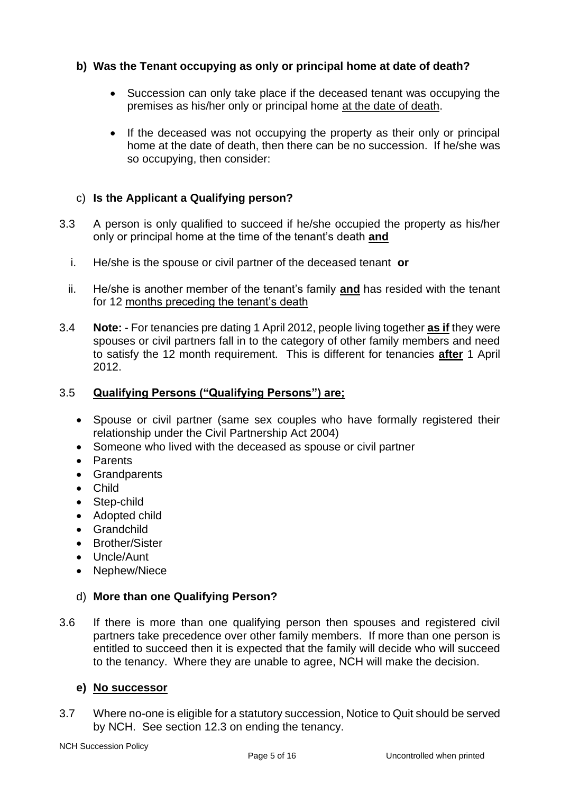# **b) Was the Tenant occupying as only or principal home at date of death?**

- Succession can only take place if the deceased tenant was occupying the premises as his/her only or principal home at the date of death.
- If the deceased was not occupying the property as their only or principal home at the date of death, then there can be no succession. If he/she was so occupying, then consider:

# c) **Is the Applicant a Qualifying person?**

- 3.3 A person is only qualified to succeed if he/she occupied the property as his/her only or principal home at the time of the tenant's death **and**
	- i. He/she is the spouse or civil partner of the deceased tenant **or**
	- ii. He/she is another member of the tenant's family **and** has resided with the tenant for 12 months preceding the tenant's death
- 3.4 **Note:** For tenancies pre dating 1 April 2012, people living together **as if** they were spouses or civil partners fall in to the category of other family members and need to satisfy the 12 month requirement. This is different for tenancies **after** 1 April 2012.

### 3.5 **Qualifying Persons ("Qualifying Persons") are;**

- Spouse or civil partner (same sex couples who have formally registered their relationship under the Civil Partnership Act 2004)
- Someone who lived with the deceased as spouse or civil partner
- Parents
- Grandparents
- Child
- Step-child
- Adopted child
- Grandchild
- Brother/Sister
- Uncle/Aunt
- Nephew/Niece

### d) **More than one Qualifying Person?**

3.6 If there is more than one qualifying person then spouses and registered civil partners take precedence over other family members. If more than one person is entitled to succeed then it is expected that the family will decide who will succeed to the tenancy. Where they are unable to agree, NCH will make the decision.

### **e) No successor**

3.7 Where no-one is eligible for a statutory succession, Notice to Quit should be served by NCH. See section 12.3 on ending the tenancy.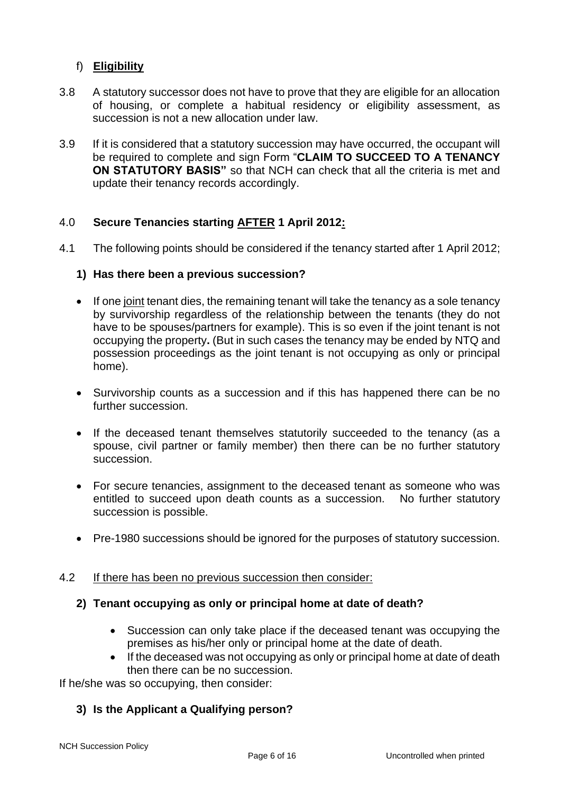# f) **Eligibility**

- 3.8 A statutory successor does not have to prove that they are eligible for an allocation of housing, or complete a habitual residency or eligibility assessment, as succession is not a new allocation under law.
- 3.9 If it is considered that a statutory succession may have occurred, the occupant will be required to complete and sign Form "**CLAIM TO SUCCEED TO A TENANCY ON STATUTORY BASIS"** so that NCH can check that all the criteria is met and update their tenancy records accordingly.

# 4.0 **Secure Tenancies starting AFTER 1 April 2012:**

4.1 The following points should be considered if the tenancy started after 1 April 2012;

### **1) Has there been a previous succession?**

- If one joint tenant dies, the remaining tenant will take the tenancy as a sole tenancy by survivorship regardless of the relationship between the tenants (they do not have to be spouses/partners for example). This is so even if the joint tenant is not occupying the property**.** (But in such cases the tenancy may be ended by NTQ and possession proceedings as the joint tenant is not occupying as only or principal home).
- Survivorship counts as a succession and if this has happened there can be no further succession.
- If the deceased tenant themselves statutorily succeeded to the tenancy (as a spouse, civil partner or family member) then there can be no further statutory succession.
- For secure tenancies, assignment to the deceased tenant as someone who was entitled to succeed upon death counts as a succession. No further statutory succession is possible.
- Pre-1980 successions should be ignored for the purposes of statutory succession.

#### 4.2 If there has been no previous succession then consider:

### **2) Tenant occupying as only or principal home at date of death?**

- Succession can only take place if the deceased tenant was occupying the premises as his/her only or principal home at the date of death.
- If the deceased was not occupying as only or principal home at date of death then there can be no succession.

If he/she was so occupying, then consider:

# **3) Is the Applicant a Qualifying person?**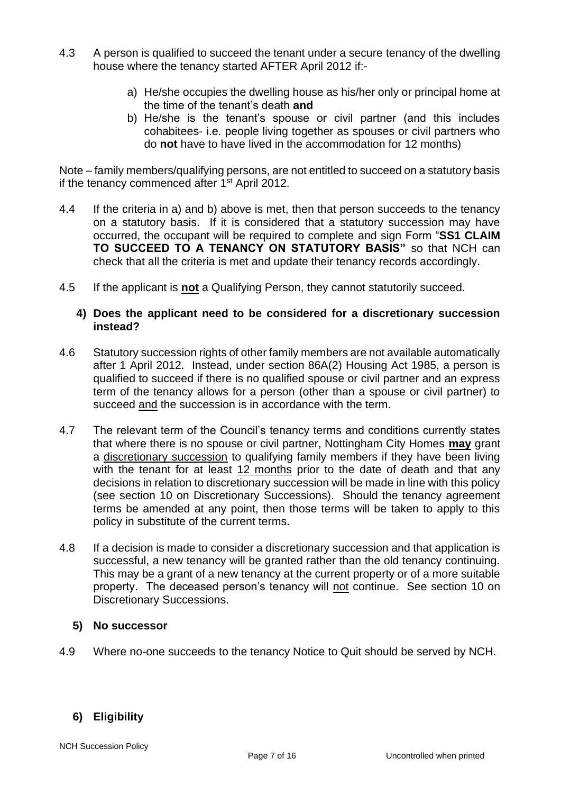- 4.3 A person is qualified to succeed the tenant under a secure tenancy of the dwelling house where the tenancy started AFTER April 2012 if:
	- a) He/she occupies the dwelling house as his/her only or principal home at the time of the tenant's death **and**
	- b) He/she is the tenant's spouse or civil partner (and this includes cohabitees- i.e. people living together as spouses or civil partners who do **not** have to have lived in the accommodation for 12 months)

Note – family members/qualifying persons, are not entitled to succeed on a statutory basis if the tenancy commenced after 1<sup>st</sup> April 2012.

- 4.4 If the criteria in a) and b) above is met, then that person succeeds to the tenancy on a statutory basis. If it is considered that a statutory succession may have occurred, the occupant will be required to complete and sign Form "**SS1 CLAIM TO SUCCEED TO A TENANCY ON STATUTORY BASIS"** so that NCH can check that all the criteria is met and update their tenancy records accordingly.
- 4.5 If the applicant is **not** a Qualifying Person, they cannot statutorily succeed.

#### **4) Does the applicant need to be considered for a discretionary succession instead?**

- 4.6 Statutory succession rights of other family members are not available automatically after 1 April 2012. Instead, under section 86A(2) Housing Act 1985, a person is qualified to succeed if there is no qualified spouse or civil partner and an express term of the tenancy allows for a person (other than a spouse or civil partner) to succeed and the succession is in accordance with the term.
- 4.7 The relevant term of the Council's tenancy terms and conditions currently states that where there is no spouse or civil partner, Nottingham City Homes **may** grant a discretionary succession to qualifying family members if they have been living with the tenant for at least 12 months prior to the date of death and that any decisions in relation to discretionary succession will be made in line with this policy (see section 10 on Discretionary Successions). Should the tenancy agreement terms be amended at any point, then those terms will be taken to apply to this policy in substitute of the current terms.
- 4.8 If a decision is made to consider a discretionary succession and that application is successful, a new tenancy will be granted rather than the old tenancy continuing. This may be a grant of a new tenancy at the current property or of a more suitable property. The deceased person's tenancy will not continue. See section 10 on Discretionary Successions.

### **5) No successor**

4.9 Where no-one succeeds to the tenancy Notice to Quit should be served by NCH.

# **6) Eligibility**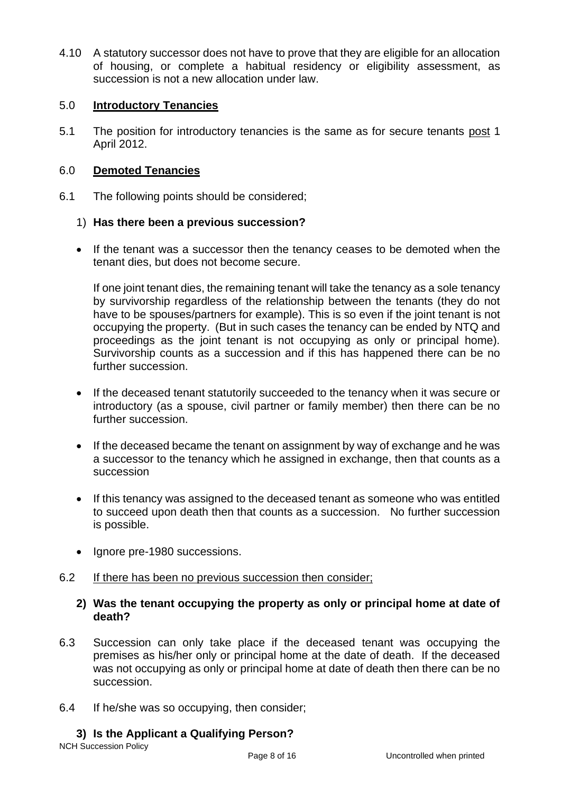4.10 A statutory successor does not have to prove that they are eligible for an allocation of housing, or complete a habitual residency or eligibility assessment, as succession is not a new allocation under law.

### 5.0 **Introductory Tenancies**

5.1 The position for introductory tenancies is the same as for secure tenants post 1 April 2012.

# 6.0 **Demoted Tenancies**

6.1 The following points should be considered;

# 1) **Has there been a previous succession?**

• If the tenant was a successor then the tenancy ceases to be demoted when the tenant dies, but does not become secure.

If one joint tenant dies, the remaining tenant will take the tenancy as a sole tenancy by survivorship regardless of the relationship between the tenants (they do not have to be spouses/partners for example). This is so even if the joint tenant is not occupying the property. (But in such cases the tenancy can be ended by NTQ and proceedings as the joint tenant is not occupying as only or principal home). Survivorship counts as a succession and if this has happened there can be no further succession.

- If the deceased tenant statutorily succeeded to the tenancy when it was secure or introductory (as a spouse, civil partner or family member) then there can be no further succession.
- If the deceased became the tenant on assignment by way of exchange and he was a successor to the tenancy which he assigned in exchange, then that counts as a succession
- If this tenancy was assigned to the deceased tenant as someone who was entitled to succeed upon death then that counts as a succession. No further succession is possible.
- Ignore pre-1980 successions.
- 6.2 If there has been no previous succession then consider;

# **2) Was the tenant occupying the property as only or principal home at date of death?**

- 6.3 Succession can only take place if the deceased tenant was occupying the premises as his/her only or principal home at the date of death. If the deceased was not occupying as only or principal home at date of death then there can be no succession.
- 6.4 If he/she was so occupying, then consider;

### **3) Is the Applicant a Qualifying Person?**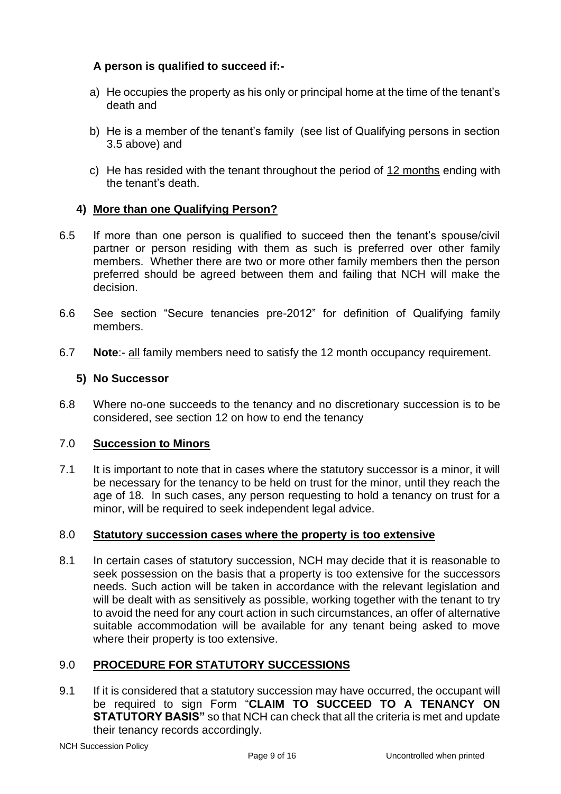# **A person is qualified to succeed if:-**

- a) He occupies the property as his only or principal home at the time of the tenant's death and
- b) He is a member of the tenant's family (see list of Qualifying persons in section 3.5 above) and
- c) He has resided with the tenant throughout the period of 12 months ending with the tenant's death.

# **4) More than one Qualifying Person?**

- 6.5 If more than one person is qualified to succeed then the tenant's spouse/civil partner or person residing with them as such is preferred over other family members. Whether there are two or more other family members then the person preferred should be agreed between them and failing that NCH will make the decision.
- 6.6 See section "Secure tenancies pre-2012" for definition of Qualifying family members.
- 6.7 **Note**:- all family members need to satisfy the 12 month occupancy requirement.

#### **5) No Successor**

6.8 Where no-one succeeds to the tenancy and no discretionary succession is to be considered, see section 12 on how to end the tenancy

#### 7.0 **Succession to Minors**

7.1 It is important to note that in cases where the statutory successor is a minor, it will be necessary for the tenancy to be held on trust for the minor, until they reach the age of 18. In such cases, any person requesting to hold a tenancy on trust for a minor, will be required to seek independent legal advice.

#### 8.0 **Statutory succession cases where the property is too extensive**

8.1 In certain cases of statutory succession, NCH may decide that it is reasonable to seek possession on the basis that a property is too extensive for the successors needs. Such action will be taken in accordance with the relevant legislation and will be dealt with as sensitively as possible, working together with the tenant to try to avoid the need for any court action in such circumstances, an offer of alternative suitable accommodation will be available for any tenant being asked to move where their property is too extensive.

### 9.0 **PROCEDURE FOR STATUTORY SUCCESSIONS**

9.1 If it is considered that a statutory succession may have occurred, the occupant will be required to sign Form "**CLAIM TO SUCCEED TO A TENANCY ON STATUTORY BASIS"** so that NCH can check that all the criteria is met and update their tenancy records accordingly.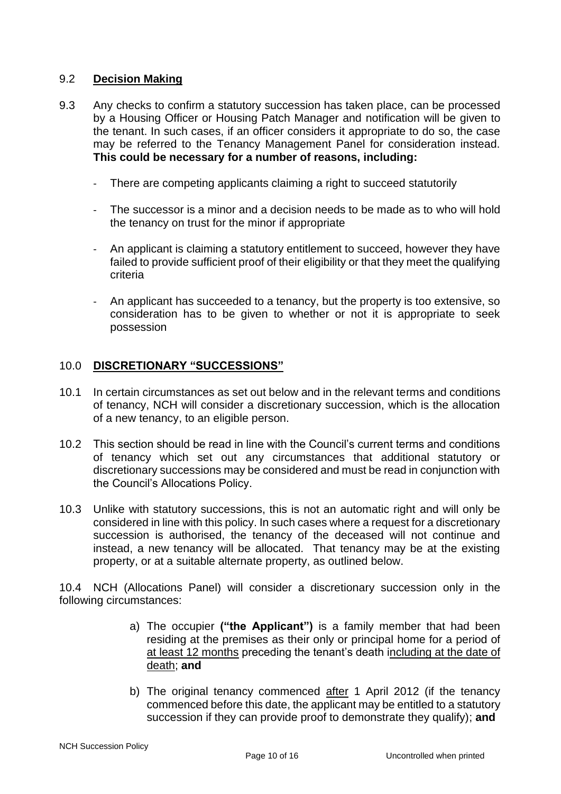### 9.2 **Decision Making**

- 9.3 Any checks to confirm a statutory succession has taken place, can be processed by a Housing Officer or Housing Patch Manager and notification will be given to the tenant. In such cases, if an officer considers it appropriate to do so, the case may be referred to the Tenancy Management Panel for consideration instead. **This could be necessary for a number of reasons, including:**
	- There are competing applicants claiming a right to succeed statutorily
	- The successor is a minor and a decision needs to be made as to who will hold the tenancy on trust for the minor if appropriate
	- An applicant is claiming a statutory entitlement to succeed, however they have failed to provide sufficient proof of their eligibility or that they meet the qualifying criteria
	- An applicant has succeeded to a tenancy, but the property is too extensive, so consideration has to be given to whether or not it is appropriate to seek possession

#### 10.0 **DISCRETIONARY "SUCCESSIONS"**

- 10.1 In certain circumstances as set out below and in the relevant terms and conditions of tenancy, NCH will consider a discretionary succession, which is the allocation of a new tenancy, to an eligible person.
- 10.2 This section should be read in line with the Council's current terms and conditions of tenancy which set out any circumstances that additional statutory or discretionary successions may be considered and must be read in conjunction with the Council's Allocations Policy.
- 10.3 Unlike with statutory successions, this is not an automatic right and will only be considered in line with this policy. In such cases where a request for a discretionary succession is authorised, the tenancy of the deceased will not continue and instead, a new tenancy will be allocated. That tenancy may be at the existing property, or at a suitable alternate property, as outlined below.

10.4 NCH (Allocations Panel) will consider a discretionary succession only in the following circumstances:

- a) The occupier **("the Applicant")** is a family member that had been residing at the premises as their only or principal home for a period of at least 12 months preceding the tenant's death including at the date of death; **and**
- b) The original tenancy commenced after 1 April 2012 (if the tenancy commenced before this date, the applicant may be entitled to a statutory succession if they can provide proof to demonstrate they qualify); **and**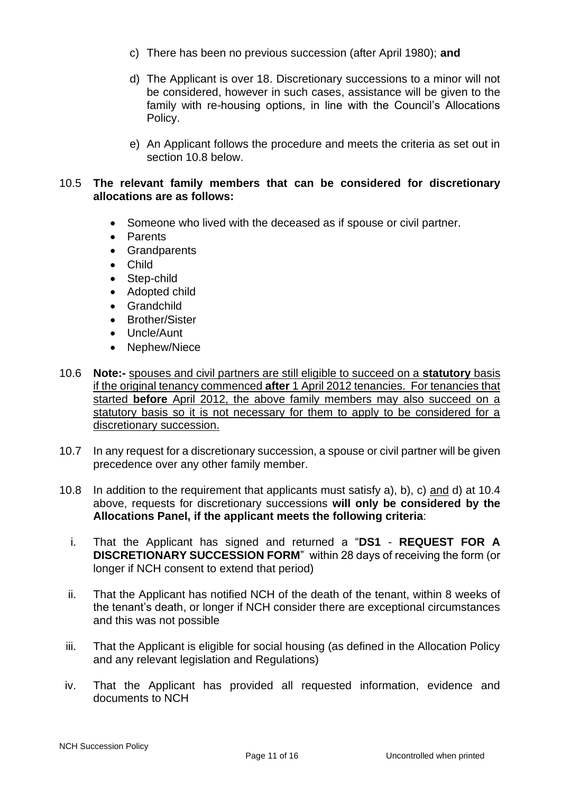- c) There has been no previous succession (after April 1980); **and**
- d) The Applicant is over 18. Discretionary successions to a minor will not be considered, however in such cases, assistance will be given to the family with re-housing options, in line with the Council's Allocations Policy.
- e) An Applicant follows the procedure and meets the criteria as set out in section 10.8 below.

#### 10.5 **The relevant family members that can be considered for discretionary allocations are as follows:**

- Someone who lived with the deceased as if spouse or civil partner.
- Parents
- Grandparents
- Child
- Step-child
- Adopted child
- Grandchild
- Brother/Sister
- Uncle/Aunt
- Nephew/Niece
- 10.6 **Note:-** spouses and civil partners are still eligible to succeed on a **statutory** basis if the original tenancy commenced **after** 1 April 2012 tenancies. For tenancies that started **before** April 2012, the above family members may also succeed on a statutory basis so it is not necessary for them to apply to be considered for a discretionary succession.
- 10.7 In any request for a discretionary succession, a spouse or civil partner will be given precedence over any other family member.
- 10.8 In addition to the requirement that applicants must satisfy a), b), c) and d) at 10.4 above, requests for discretionary successions **will only be considered by the Allocations Panel, if the applicant meets the following criteria**:
	- i. That the Applicant has signed and returned a "**DS1 REQUEST FOR A DISCRETIONARY SUCCESSION FORM**" within 28 days of receiving the form (or longer if NCH consent to extend that period)
	- ii. That the Applicant has notified NCH of the death of the tenant, within 8 weeks of the tenant's death, or longer if NCH consider there are exceptional circumstances and this was not possible
- iii. That the Applicant is eligible for social housing (as defined in the Allocation Policy and any relevant legislation and Regulations)
- iv. That the Applicant has provided all requested information, evidence and documents to NCH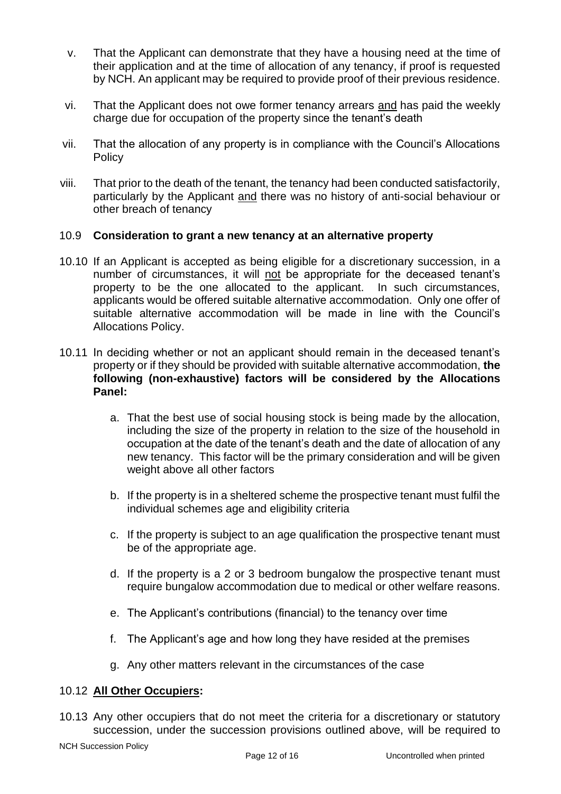- v. That the Applicant can demonstrate that they have a housing need at the time of their application and at the time of allocation of any tenancy, if proof is requested by NCH. An applicant may be required to provide proof of their previous residence.
- vi. That the Applicant does not owe former tenancy arrears and has paid the weekly charge due for occupation of the property since the tenant's death
- vii. That the allocation of any property is in compliance with the Council's Allocations **Policy**
- viii. That prior to the death of the tenant, the tenancy had been conducted satisfactorily, particularly by the Applicant and there was no history of anti-social behaviour or other breach of tenancy

### 10.9 **Consideration to grant a new tenancy at an alternative property**

- 10.10 If an Applicant is accepted as being eligible for a discretionary succession, in a number of circumstances, it will not be appropriate for the deceased tenant's property to be the one allocated to the applicant. In such circumstances, applicants would be offered suitable alternative accommodation. Only one offer of suitable alternative accommodation will be made in line with the Council's Allocations Policy.
- 10.11 In deciding whether or not an applicant should remain in the deceased tenant's property or if they should be provided with suitable alternative accommodation, **the following (non-exhaustive) factors will be considered by the Allocations Panel:**
	- a. That the best use of social housing stock is being made by the allocation, including the size of the property in relation to the size of the household in occupation at the date of the tenant's death and the date of allocation of any new tenancy. This factor will be the primary consideration and will be given weight above all other factors
	- b. If the property is in a sheltered scheme the prospective tenant must fulfil the individual schemes age and eligibility criteria
	- c. If the property is subject to an age qualification the prospective tenant must be of the appropriate age.
	- d. If the property is a 2 or 3 bedroom bungalow the prospective tenant must require bungalow accommodation due to medical or other welfare reasons.
	- e. The Applicant's contributions (financial) to the tenancy over time
	- f. The Applicant's age and how long they have resided at the premises
	- g. Any other matters relevant in the circumstances of the case

#### 10.12 **All Other Occupiers:**

10.13 Any other occupiers that do not meet the criteria for a discretionary or statutory succession, under the succession provisions outlined above, will be required to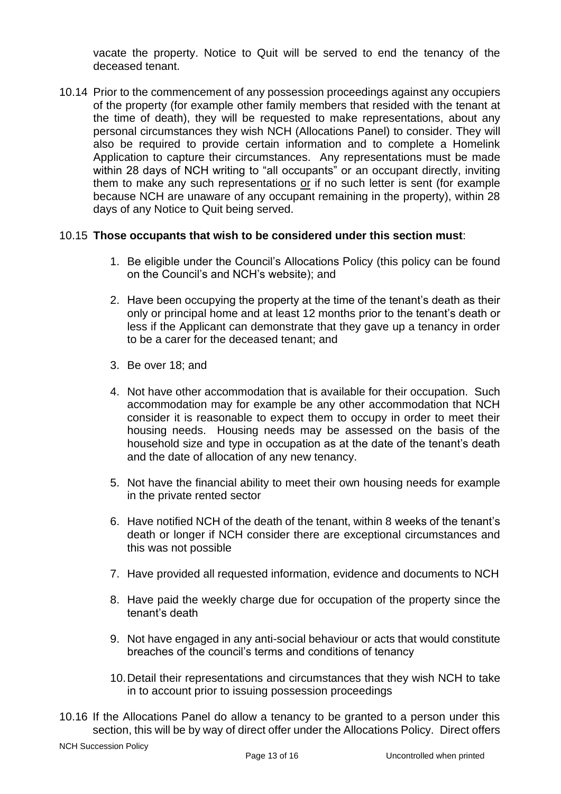vacate the property. Notice to Quit will be served to end the tenancy of the deceased tenant.

10.14 Prior to the commencement of any possession proceedings against any occupiers of the property (for example other family members that resided with the tenant at the time of death), they will be requested to make representations, about any personal circumstances they wish NCH (Allocations Panel) to consider. They will also be required to provide certain information and to complete a Homelink Application to capture their circumstances. Any representations must be made within 28 days of NCH writing to "all occupants" or an occupant directly, inviting them to make any such representations or if no such letter is sent (for example because NCH are unaware of any occupant remaining in the property), within 28 days of any Notice to Quit being served.

# 10.15 **Those occupants that wish to be considered under this section must**:

- 1. Be eligible under the Council's Allocations Policy (this policy can be found on the Council's and NCH's website); and
- 2. Have been occupying the property at the time of the tenant's death as their only or principal home and at least 12 months prior to the tenant's death or less if the Applicant can demonstrate that they gave up a tenancy in order to be a carer for the deceased tenant; and
- 3. Be over 18; and
- 4. Not have other accommodation that is available for their occupation. Such accommodation may for example be any other accommodation that NCH consider it is reasonable to expect them to occupy in order to meet their housing needs. Housing needs may be assessed on the basis of the household size and type in occupation as at the date of the tenant's death and the date of allocation of any new tenancy.
- 5. Not have the financial ability to meet their own housing needs for example in the private rented sector
- 6. Have notified NCH of the death of the tenant, within 8 weeks of the tenant's death or longer if NCH consider there are exceptional circumstances and this was not possible
- 7. Have provided all requested information, evidence and documents to NCH
- 8. Have paid the weekly charge due for occupation of the property since the tenant's death
- 9. Not have engaged in any anti-social behaviour or acts that would constitute breaches of the council's terms and conditions of tenancy
- 10.Detail their representations and circumstances that they wish NCH to take in to account prior to issuing possession proceedings
- 10.16 If the Allocations Panel do allow a tenancy to be granted to a person under this section, this will be by way of direct offer under the Allocations Policy. Direct offers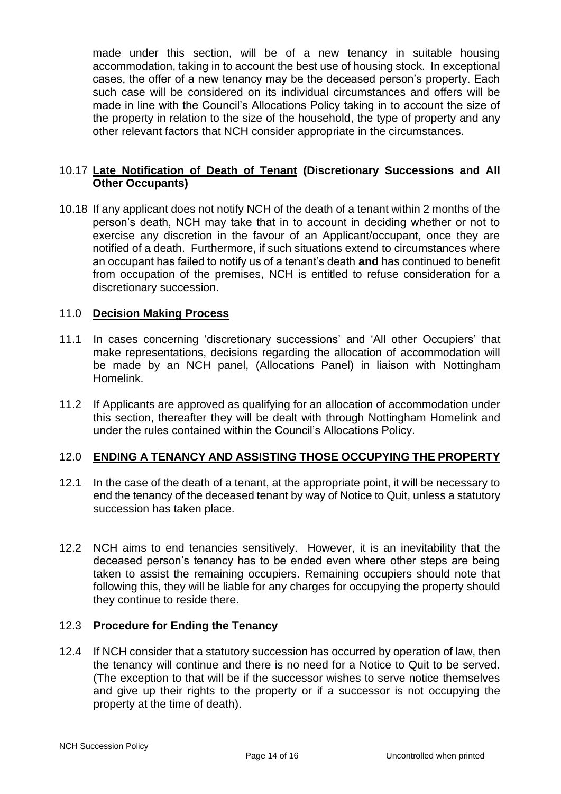made under this section, will be of a new tenancy in suitable housing accommodation, taking in to account the best use of housing stock. In exceptional cases, the offer of a new tenancy may be the deceased person's property. Each such case will be considered on its individual circumstances and offers will be made in line with the Council's Allocations Policy taking in to account the size of the property in relation to the size of the household, the type of property and any other relevant factors that NCH consider appropriate in the circumstances.

### 10.17 **Late Notification of Death of Tenant (Discretionary Successions and All Other Occupants)**

10.18 If any applicant does not notify NCH of the death of a tenant within 2 months of the person's death, NCH may take that in to account in deciding whether or not to exercise any discretion in the favour of an Applicant/occupant, once they are notified of a death. Furthermore, if such situations extend to circumstances where an occupant has failed to notify us of a tenant's death **and** has continued to benefit from occupation of the premises, NCH is entitled to refuse consideration for a discretionary succession.

#### 11.0 **Decision Making Process**

- 11.1 In cases concerning 'discretionary successions' and 'All other Occupiers' that make representations, decisions regarding the allocation of accommodation will be made by an NCH panel, (Allocations Panel) in liaison with Nottingham Homelink.
- 11.2 If Applicants are approved as qualifying for an allocation of accommodation under this section, thereafter they will be dealt with through Nottingham Homelink and under the rules contained within the Council's Allocations Policy.

#### 12.0 **ENDING A TENANCY AND ASSISTING THOSE OCCUPYING THE PROPERTY**

- 12.1 In the case of the death of a tenant, at the appropriate point, it will be necessary to end the tenancy of the deceased tenant by way of Notice to Quit, unless a statutory succession has taken place.
- 12.2 NCH aims to end tenancies sensitively. However, it is an inevitability that the deceased person's tenancy has to be ended even where other steps are being taken to assist the remaining occupiers. Remaining occupiers should note that following this, they will be liable for any charges for occupying the property should they continue to reside there.

#### 12.3 **Procedure for Ending the Tenancy**

12.4 If NCH consider that a statutory succession has occurred by operation of law, then the tenancy will continue and there is no need for a Notice to Quit to be served. (The exception to that will be if the successor wishes to serve notice themselves and give up their rights to the property or if a successor is not occupying the property at the time of death).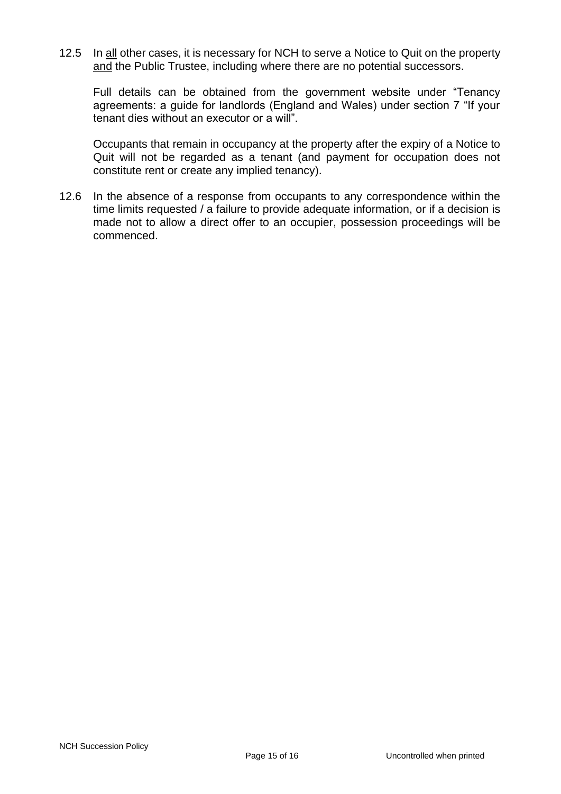12.5 In all other cases, it is necessary for NCH to serve a Notice to Quit on the property and the Public Trustee, including where there are no potential successors.

Full details can be obtained from the government website under "Tenancy agreements: a guide for landlords (England and Wales) under section 7 "If your tenant dies without an executor or a will".

Occupants that remain in occupancy at the property after the expiry of a Notice to Quit will not be regarded as a tenant (and payment for occupation does not constitute rent or create any implied tenancy).

12.6 In the absence of a response from occupants to any correspondence within the time limits requested / a failure to provide adequate information, or if a decision is made not to allow a direct offer to an occupier, possession proceedings will be commenced.